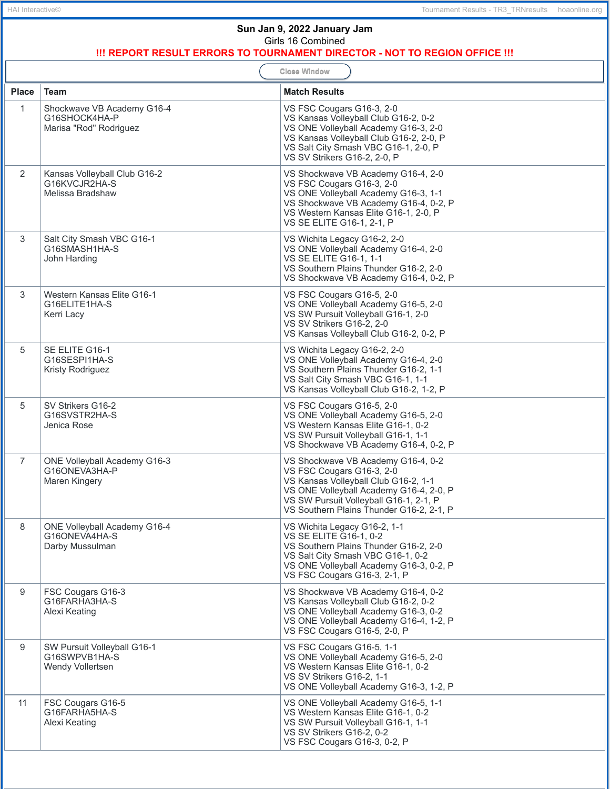| Sun Jan 9, 2022 January Jam<br>Girls 16 Combined                                                  |                                                                       |                                                                                                                                                                                                                                          |  |
|---------------------------------------------------------------------------------------------------|-----------------------------------------------------------------------|------------------------------------------------------------------------------------------------------------------------------------------------------------------------------------------------------------------------------------------|--|
| !!! REPORT RESULT ERRORS TO TOURNAMENT DIRECTOR - NOT TO REGION OFFICE !!!<br><b>Close Window</b> |                                                                       |                                                                                                                                                                                                                                          |  |
| <b>Place</b>                                                                                      | <b>Team</b>                                                           | <b>Match Results</b>                                                                                                                                                                                                                     |  |
| $\mathbf{1}$                                                                                      | Shockwave VB Academy G16-4<br>G16SHOCK4HA-P<br>Marisa "Rod" Rodriguez | VS FSC Cougars G16-3, 2-0<br>VS Kansas Volleyball Club G16-2, 0-2<br>VS ONE Volleyball Academy G16-3, 2-0<br>VS Kansas Volleyball Club G16-2, 2-0, P<br>VS Salt City Smash VBC G16-1, 2-0, P<br>VS SV Strikers G16-2, 2-0, P             |  |
| 2                                                                                                 | Kansas Volleyball Club G16-2<br>G16KVCJR2HA-S<br>Melissa Bradshaw     | VS Shockwave VB Academy G16-4, 2-0<br>VS FSC Cougars G16-3, 2-0<br>VS ONE Volleyball Academy G16-3, 1-1<br>VS Shockwave VB Academy G16-4, 0-2, P<br>VS Western Kansas Elite G16-1, 2-0, P<br>VS SE ELITE G16-1, 2-1, P                   |  |
| 3                                                                                                 | Salt City Smash VBC G16-1<br>G16SMASH1HA-S<br>John Harding            | VS Wichita Legacy G16-2, 2-0<br>VS ONE Volleyball Academy G16-4, 2-0<br>VS SE ELITE G16-1, 1-1<br>VS Southern Plains Thunder G16-2, 2-0<br>VS Shockwave VB Academy G16-4, 0-2, P                                                         |  |
| 3                                                                                                 | Western Kansas Elite G16-1<br>G16ELITE1HA-S<br>Kerri Lacy             | VS FSC Cougars G16-5, 2-0<br>VS ONE Volleyball Academy G16-5, 2-0<br>VS SW Pursuit Volleyball G16-1, 2-0<br>VS SV Strikers G16-2, 2-0<br>VS Kansas Volleyball Club G16-2, 0-2, P                                                         |  |
| 5                                                                                                 | SE ELITE G16-1<br>G16SESPI1HA-S<br>Kristy Rodriguez                   | VS Wichita Legacy G16-2, 2-0<br>VS ONE Volleyball Academy G16-4, 2-0<br>VS Southern Plains Thunder G16-2, 1-1<br>VS Salt City Smash VBC G16-1, 1-1<br>VS Kansas Volleyball Club G16-2, 1-2, P                                            |  |
| 5                                                                                                 | SV Strikers G16-2<br>G16SVSTR2HA-S<br>Jenica Rose                     | VS FSC Cougars G16-5, 2-0<br>VS ONE Volleyball Academy G16-5, 2-0<br>VS Western Kansas Elite G16-1, 0-2<br>VS SW Pursuit Volleyball G16-1, 1-1<br>VS Shockwave VB Academy G16-4, 0-2, P                                                  |  |
| 7                                                                                                 | <b>ONE Volleyball Academy G16-3</b><br>G16ONEVA3HA-P<br>Maren Kingery | VS Shockwave VB Academy G16-4, 0-2<br>VS FSC Cougars G16-3, 2-0<br>VS Kansas Volleyball Club G16-2, 1-1<br>VS ONE Volleyball Academy G16-4, 2-0, P<br>VS SW Pursuit Volleyball G16-1, 2-1, P<br>VS Southern Plains Thunder G16-2, 2-1, P |  |
| 8                                                                                                 | ONE Volleyball Academy G16-4<br>G16ONEVA4HA-S<br>Darby Mussulman      | VS Wichita Legacy G16-2, 1-1<br>VS SE ELITE G16-1, 0-2<br>VS Southern Plains Thunder G16-2, 2-0<br>VS Salt City Smash VBC G16-1, 0-2<br>VS ONE Volleyball Academy G16-3, 0-2, P<br>VS FSC Cougars G16-3, 2-1, P                          |  |
| 9                                                                                                 | FSC Cougars G16-3<br>G16FARHA3HA-S<br>Alexi Keating                   | VS Shockwave VB Academy G16-4, 0-2<br>VS Kansas Volleyball Club G16-2, 0-2<br>VS ONE Volleyball Academy G16-3, 0-2<br>VS ONE Volleyball Academy G16-4, 1-2, P<br>VS FSC Cougars G16-5, 2-0, P                                            |  |
| 9                                                                                                 | SW Pursuit Volleyball G16-1<br>G16SWPVB1HA-S<br>Wendy Vollertsen      | VS FSC Cougars G16-5, 1-1<br>VS ONE Volleyball Academy G16-5, 2-0<br>VS Western Kansas Elite G16-1, 0-2<br>VS SV Strikers G16-2, 1-1<br>VS ONE Volleyball Academy G16-3, 1-2, P                                                          |  |
| 11                                                                                                | FSC Cougars G16-5<br>G16FARHA5HA-S<br>Alexi Keating                   | VS ONE Volleyball Academy G16-5, 1-1<br>VS Western Kansas Elite G16-1, 0-2<br>VS SW Pursuit Volleyball G16-1, 1-1<br>VS SV Strikers G16-2, 0-2<br>VS FSC Cougars G16-3, 0-2, P                                                           |  |